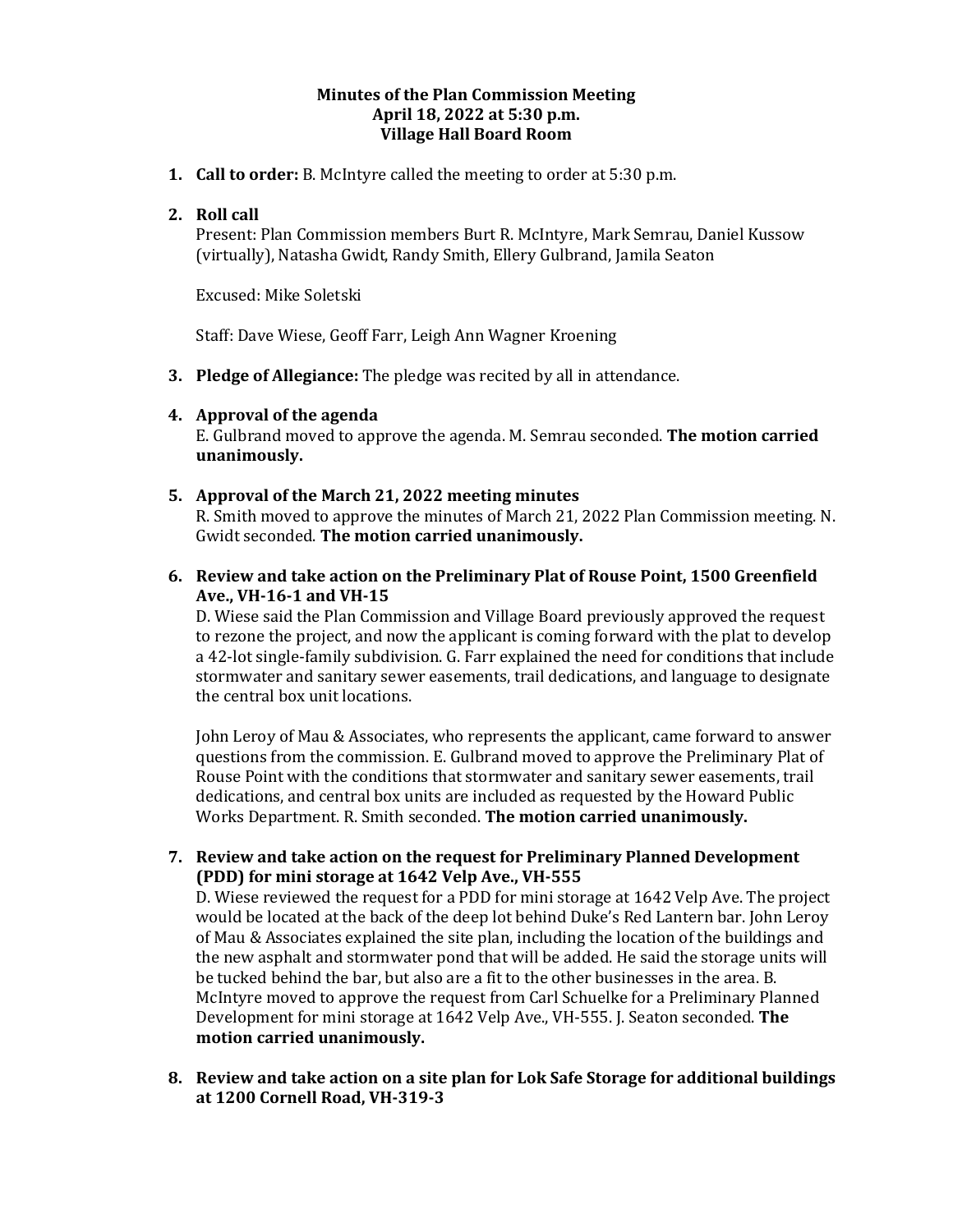### **Minutes of the Plan Commission Meeting April 18, 2022 at 5:30 p.m. Village Hall Board Room**

**1. Call to order:** B. McIntyre called the meeting to order at 5:30 p.m.

# **2. Roll call**

Present: Plan Commission members Burt R. McIntyre, Mark Semrau, Daniel Kussow (virtually), Natasha Gwidt, Randy Smith, Ellery Gulbrand, Jamila Seaton

Excused: Mike Soletski

Staff: Dave Wiese, Geoff Farr, Leigh Ann Wagner Kroening

**3. Pledge of Allegiance:** The pledge was recited by all in attendance.

## **4. Approval of the agenda**

E. Gulbrand moved to approve the agenda. M. Semrau seconded. **The motion carried unanimously.** 

### **5. Approval of the March 21, 2022 meeting minutes**

R. Smith moved to approve the minutes of March 21, 2022 Plan Commission meeting. N. Gwidt seconded. **The motion carried unanimously.**

### **6. Review and take action on the Preliminary Plat of Rouse Point, 1500 Greenfield Ave., VH-16-1 and VH-15**

D. Wiese said the Plan Commission and Village Board previously approved the request to rezone the project, and now the applicant is coming forward with the plat to develop a 42-lot single-family subdivision. G. Farr explained the need for conditions that include stormwater and sanitary sewer easements, trail dedications, and language to designate the central box unit locations.

John Leroy of Mau & Associates, who represents the applicant, came forward to answer questions from the commission. E. Gulbrand moved to approve the Preliminary Plat of Rouse Point with the conditions that stormwater and sanitary sewer easements, trail dedications, and central box units are included as requested by the Howard Public Works Department. R. Smith seconded. **The motion carried unanimously.**

**7. Review and take action on the request for Preliminary Planned Development (PDD) for mini storage at 1642 Velp Ave., VH-555**

D. Wiese reviewed the request for a PDD for mini storage at 1642 Velp Ave. The project would be located at the back of the deep lot behind Duke's Red Lantern bar. John Leroy of Mau & Associates explained the site plan, including the location of the buildings and the new asphalt and stormwater pond that will be added. He said the storage units will be tucked behind the bar, but also are a fit to the other businesses in the area. B. McIntyre moved to approve the request from Carl Schuelke for a Preliminary Planned Development for mini storage at 1642 Velp Ave., VH-555. J. Seaton seconded. **The motion carried unanimously.** 

**8. Review and take action on a site plan for Lok Safe Storage for additional buildings at 1200 Cornell Road, VH-319-3**